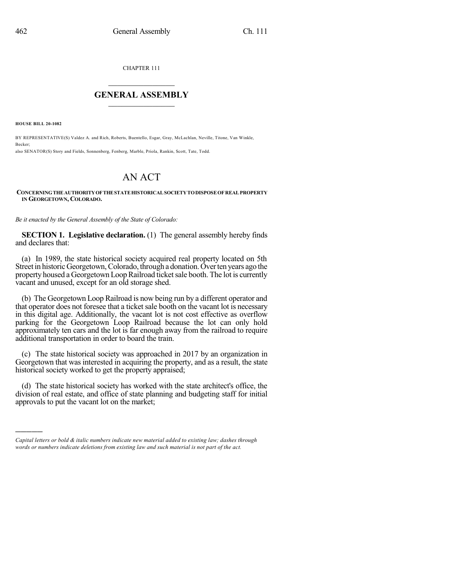CHAPTER 111

## $\overline{\phantom{a}}$  . The set of the set of the set of the set of the set of the set of the set of the set of the set of the set of the set of the set of the set of the set of the set of the set of the set of the set of the set o **GENERAL ASSEMBLY**  $\frac{1}{\sqrt{2}}$

**HOUSE BILL 20-1082**

)))))

BY REPRESENTATIVE(S) Valdez A. and Rich, Roberts, Buentello, Esgar, Gray, McLachlan, Neville, Titone, Van Winkle, Becker; also SENATOR(S) Story and Fields, Sonnenberg, Fenberg, Marble, Priola, Rankin, Scott, Tate, Todd.

## AN ACT

## **CONCERNINGTHEAUTHORITYOFTHESTATEHISTORICALSOCIETYTODISPOSEOFREALPROPERTY IN GEORGETOWN, COLORADO.**

*Be it enacted by the General Assembly of the State of Colorado:*

**SECTION 1. Legislative declaration.** (1) The general assembly hereby finds and declares that:

(a) In 1989, the state historical society acquired real property located on 5th Street in historic Georgetown, Colorado, through a donation. Over ten years ago the property housed a Georgetown Loop Railroad ticket sale booth. The lot is currently vacant and unused, except for an old storage shed.

(b) The Georgetown Loop Railroad is now being run by a different operator and that operator does not foresee that a ticket sale booth on the vacant lot is necessary in this digital age. Additionally, the vacant lot is not cost effective as overflow parking for the Georgetown Loop Railroad because the lot can only hold approximately ten cars and the lot is far enough away from the railroad to require additional transportation in order to board the train.

(c) The state historical society was approached in 2017 by an organization in Georgetown that was interested in acquiring the property, and as a result, the state historical society worked to get the property appraised;

(d) The state historical society has worked with the state architect's office, the division of real estate, and office of state planning and budgeting staff for initial approvals to put the vacant lot on the market;

*Capital letters or bold & italic numbers indicate new material added to existing law; dashes through words or numbers indicate deletions from existing law and such material is not part of the act.*